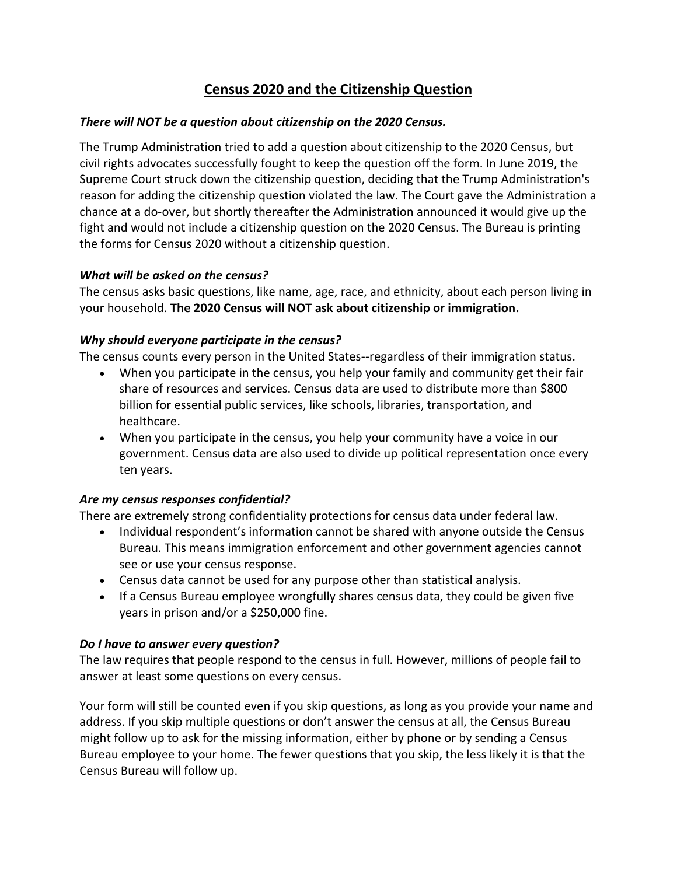# **Census 2020 and the Citizenship Question**

#### *There will NOT be a question about citizenship on the 2020 Census.*

The Trump Administration tried to add a question about citizenship to the 2020 Census, but civil rights advocates successfully fought to keep the question off the form. In June 2019, the Supreme Court struck down the citizenship question, deciding that the Trump Administration's reason for adding the citizenship question violated the law. The Court gave the Administration a chance at a do-over, but shortly thereafter the Administration announced it would give up the fight and would not include a citizenship question on the 2020 Census. The Bureau is printing the forms for Census 2020 without a citizenship question.

#### *What will be asked on the census?*

The census asks basic questions, like name, age, race, and ethnicity, about each person living in your household. **The 2020 Census will NOT ask about citizenship or immigration.**

# *Why should everyone participate in the census?*

The census counts every person in the United States--regardless of their immigration status.

- When you participate in the census, you help your family and community get their fair share of resources and services. Census data are used to distribute more than \$800 billion for essential public services, like schools, libraries, transportation, and healthcare.
- When you participate in the census, you help your community have a voice in our government. Census data are also used to divide up political representation once every ten years.

# *Are my census responses confidential?*

There are extremely strong confidentiality protections for census data under federal law.

- Individual respondent's information cannot be shared with anyone outside the Census Bureau. This means immigration enforcement and other government agencies cannot see or use your census response.
- Census data cannot be used for any purpose other than statistical analysis.
- If a Census Bureau employee wrongfully shares census data, they could be given five years in prison and/or a \$250,000 fine.

# *Do I have to answer every question?*

The law requires that people respond to the census in full. However, millions of people fail to answer at least some questions on every census.

Your form will still be counted even if you skip questions, as long as you provide your name and address. If you skip multiple questions or don't answer the census at all, the Census Bureau might follow up to ask for the missing information, either by phone or by sending a Census Bureau employee to your home. The fewer questions that you skip, the less likely it is that the Census Bureau will follow up.